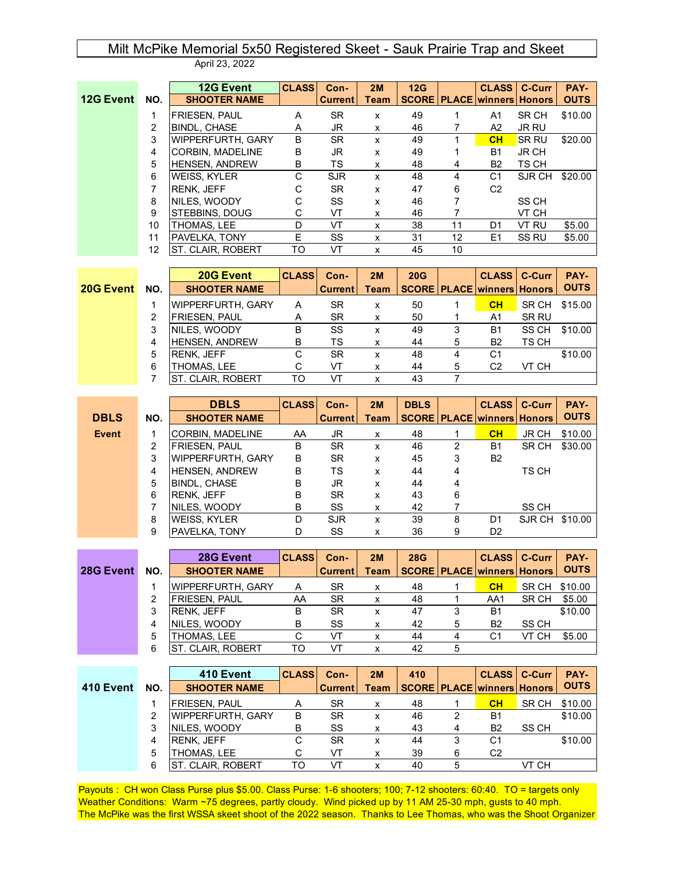## Milt McPike Memorial 5x50 Registered Skeet - Sauk Prairie Trap and Skeet April 23, 2022

|           |     | <b>12G Event</b>         | <b>CLASS</b> | Con-           | 2M               | 12G |    | <b>CLASS</b>                              | C-Curr       | PAY-        |
|-----------|-----|--------------------------|--------------|----------------|------------------|-----|----|-------------------------------------------|--------------|-------------|
| 12G Event | NO. | <b>SHOOTER NAME</b>      |              | <b>Current</b> | <b>Team</b>      |     |    | <b>SCORE   PLACE   winners   Honors  </b> |              | <b>OUTS</b> |
|           |     | <b>FRIESEN, PAUL</b>     | A            | <b>SR</b>      | X                | 49  |    | A1                                        | SR CH        | \$10.00     |
|           | 2   | <b>BINDL, CHASE</b>      | A            | JR             | X                | 46  |    | A2                                        | <b>JR RU</b> |             |
|           | 3   | IWIPPERFURTH. GARY       | B            | <b>SR</b>      | $\boldsymbol{x}$ | 49  |    | CH                                        | SR RU        | \$20.00     |
|           | 4   | <b>CORBIN. MADELINE</b>  | B            | JR.            | X                | 49  |    | B1                                        | <b>JR CH</b> |             |
|           | 5   | <b>HENSEN, ANDREW</b>    | B            | TS             | $\mathsf{x}$     | 48  | 4  | B <sub>2</sub>                            | TS CH        |             |
|           | 6   | <b>IWEISS, KYLER</b>     | С            | <b>SJR</b>     | X                | 48  | 4  | C <sub>1</sub>                            | SJR CH       | \$20.00     |
|           | 7   | <b>RENK. JEFF</b>        | C            | <b>SR</b>      | X                | 47  | 6  | C <sub>2</sub>                            |              |             |
|           | 8   | INILES. WOODY            | С            | SS             | X                | 46  |    |                                           | SS CH        |             |
|           | 9   | <b>STEBBINS, DOUG</b>    | C            | VT             | X                | 46  |    |                                           | VT CH        |             |
|           | 10  | THOMAS, LEE              | D            | VT             | X                | 38  | 11 | D1                                        | VT RU        | \$5.00      |
|           | 11  | PAVELKA, TONY            | E            | SS             | X                | 31  | 12 | E1                                        | <b>SS RU</b> | \$5.00      |
|           | 12  | <b>ST. CLAIR. ROBERT</b> | TO           | VT             | x                | 45  | 10 |                                           |              |             |

|           |     | 20G Event                | <b>CLASS</b> | Con-           | 2M          | 20G |   | <b>CLASS   C-Curr</b>                     |       | PAY-        |
|-----------|-----|--------------------------|--------------|----------------|-------------|-----|---|-------------------------------------------|-------|-------------|
| 20G Event | NO. | <b>SHOOTER NAME</b>      |              | <b>Current</b> | <b>Team</b> |     |   | <b>SCORE   PLACE   winners   Honors  </b> |       | <b>OUTS</b> |
|           |     | <b>WIPPERFURTH, GARY</b> | Α            | <b>SR</b>      | x           | 50  |   | CH                                        | SR CH | \$15.00     |
|           | 2   | <b>FRIESEN, PAUL</b>     | A            | <b>SR</b>      | x           | 50  |   | A1                                        | SR RU |             |
|           | 3   | NILES, WOODY             | в            | SS             | x           | 49  | 3 | <b>B1</b>                                 | SS CH | \$10.00     |
|           | 4   | <b>HENSEN, ANDREW</b>    | B            | TS             | x           | 44  | 5 | B <sub>2</sub>                            | TS CH |             |
|           | 5   | <b>RENK, JEFF</b>        | С            | SR.            | x           | 48  | 4 | C <sub>1</sub>                            |       | \$10.00     |
|           | 6   | THOMAS, LEE              | С            | VT             | X           | 44  | 5 | C <sub>2</sub>                            | VT CH |             |
|           |     | <b>ST. CLAIR, ROBERT</b> | TO           | VT             | x           | 43  |   |                                           |       |             |

|             |     | <b>DBLS</b>              | <b>CLASS</b> | Con-           | 2M          | <b>DBLS</b> |   | <b>CLASS   C-Curr</b>                   |              | PAY-        |
|-------------|-----|--------------------------|--------------|----------------|-------------|-------------|---|-----------------------------------------|--------------|-------------|
| <b>DBLS</b> | NO. | <b>SHOOTER NAME</b>      |              | <b>Current</b> | <b>Team</b> |             |   | <b>SCORE   PLACE   winners   Honors</b> |              | <b>OUTS</b> |
| Event       |     | <b>CORBIN, MADELINE</b>  | AA           | JR.            | x           | 48          |   | CH                                      | <b>JR CH</b> | \$10.00     |
|             | 2   | <b>FRIESEN, PAUL</b>     | B            | <b>SR</b>      | X           | 46          | 2 | <b>B1</b>                               | SR CH        | \$30.00     |
|             | 3   | <b>WIPPERFURTH, GARY</b> | B            | <b>SR</b>      | X           | 45          | 3 | B <sub>2</sub>                          |              |             |
|             | 4   | <b>HENSEN, ANDREW</b>    | В            | TS             | X           | 44          | 4 |                                         | TS CH        |             |
|             | 5   | <b>BINDL, CHASE</b>      | B            | JR             | X           | 44          | 4 |                                         |              |             |
|             | 6   | RENK, JEFF               | B            | <b>SR</b>      | x           | 43          | 6 |                                         |              |             |
|             |     | INILES. WOODY            | B            | SS             | x           | 42          |   |                                         | SS CH        |             |
|             | 8   | <b>WEISS, KYLER</b>      | D            | <b>SJR</b>     | x           | 39          | 8 | D1                                      | SJR CH       | \$10.00     |
|             | 9   | PAVELKA, TONY            | D            | SS             | x           | 36          | 9 | D <sub>2</sub>                          |              |             |

|           |     | 28G Event            | <b>CLASS</b> | Con-           | 2M          | <b>28G</b> |   | <b>CLASS</b> C-Curr                     |       | PAY-        |
|-----------|-----|----------------------|--------------|----------------|-------------|------------|---|-----------------------------------------|-------|-------------|
| 28G Event | NO. | <b>SHOOTER NAME</b>  |              | <b>Current</b> | <b>Team</b> |            |   | <b>SCORE   PLACE   winners   Honors</b> |       | <b>OUTS</b> |
|           |     | WIPPERFURTH, GARY    | A            | <b>SR</b>      | X           | 48         |   | CH                                      | SR CH | \$10.00     |
|           | 2   | <b>FRIESEN, PAUL</b> | AA           | <b>SR</b>      | X           | 48         |   | AA1                                     | SR CH | \$5.00      |
|           | 3   | <b>RENK, JEFF</b>    | в            | SR             | x           | 47         | 3 | B <sub>1</sub>                          |       | \$10.00     |
|           | 4   | NILES, WOODY         | в            | SS             | X           | 42         | 5 | B <sub>2</sub>                          | SS CH |             |
|           | 5   | THOMAS, LEE          | C            | VT             | x           | 44         | 4 | C <sub>1</sub>                          | VT CH | \$5.00      |
|           | 6   | IST. CLAIR. ROBERT   | TΟ           | VT             | x           | 42         | 5 |                                         |       |             |

|           |     | 410 Event                | <b>CLASS</b> | Con-           | 2M   | 410 |   |                                           | CLASS   C-Curr | PAY-        |
|-----------|-----|--------------------------|--------------|----------------|------|-----|---|-------------------------------------------|----------------|-------------|
| 410 Event | NO. | <b>SHOOTER NAME</b>      |              | <b>Current</b> | Team |     |   | <b>SCORE   PLACE   winners   Honors  </b> |                | <b>OUTS</b> |
|           |     | <b>FRIESEN, PAUL</b>     |              | <b>SR</b>      |      | 48  |   | СH                                        | SR CH          | \$10.00     |
|           | 2   | <b>WIPPERFURTH, GARY</b> | в            | <b>SR</b>      | x    | 46  | 2 | B <sub>1</sub>                            |                | \$10.00     |
|           | 3   | <b>NILES, WOODY</b>      | в            | SS             | X    | 43  | 4 | B <sub>2</sub>                            | SS CH          |             |
|           | 4   | <b>RENK, JEFF</b>        |              | <b>SR</b>      | x    | 44  | 3 | C1                                        |                | \$10.00     |
|           | 5   | THOMAS, LEE              |              | VT             | x    | 39  | 6 | C <sub>2</sub>                            |                |             |
|           | 6   | ST. CLAIR, ROBERT        | TΟ           | VT             | x    | 40  |   |                                           | VT CH          |             |

Payouts : CH won Class Purse plus \$5.00. Class Purse: 1-6 shooters; 100; 7-12 shooters: 60:40. TO = targets only Weather Conditions: Warm ~75 degrees, partly cloudy. Wind picked up by 11 AM 25-30 mph, gusts to 40 mph. The McPike was the first WSSA skeet shoot of the 2022 season. Thanks to Lee Thomas, who was the Shoot Organizer